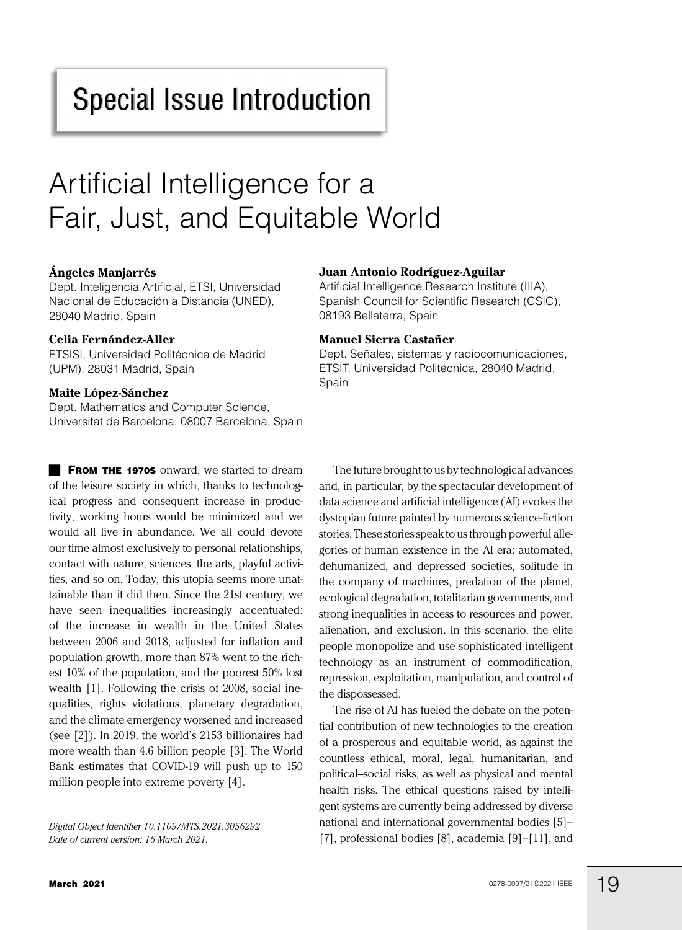# Special Issue Introduction

# Artificial Intelligence for a Fair, Just, and Equitable World

### **Ángeles Manjarrés**

Dept. Inteligencia Artificial, ETSI, Universidad Nacional de Educación a Distancia (UNED), 28040 Madrid, Spain

#### **Celia Fernández-Aller**

ETSISI, Universidad Politécnica de Madrid (UPM), 28031 Madrid, Spain

#### **Maite López-Sánchez**

Dept. Mathematics and Computer Science, Universitat de Barcelona, 08007 Barcelona, Spain

**FROM THE 1970S** onward, we started to dream of the leisure society in which, thanks to technological progress and consequent increase in productivity, working hours would be minimized and we would all live in abundance. We all could devote our time almost exclusively to personal relationships, contact with nature, sciences, the arts, playful activities, and so on. Today, this utopia seems more unattainable than it did then. Since the 21st century, we have seen inequalities increasingly accentuated: of the increase in wealth in the United States between 2006 and 2018, adjusted for inflation and population growth, more than 87% went to the richest 10% of the population, and the poorest 50% lost wealth [1]. Following the crisis of 2008, social inequalities, rights violations, planetary degradation, and the climate emergency worsened and increased (see [2]). In 2019, the world's 2153 billionaires had more wealth than 4.6 billion people [3]. The World Bank estimates that COVID-19 will push up to 150 million people into extreme poverty [4].

*Digital Object Identifier 10.1109/MTS.2021.3056292 Date of current version: 16 March 2021.*

#### **Juan Antonio Rodríguez-Aguilar**

Artificial Intelligence Research Institute (IIIA), Spanish Council for Scientific Research (CSIC), 08193 Bellaterra, Spain

#### **Manuel Sierra Castañer**

Dept. Señales, sistemas y radiocomunicaciones, ETSIT, Universidad Politécnica, 28040 Madrid, Spain

The future brought to us by technological advances and, in particular, by the spectacular development of data science and artificial intelligence (AI) evokes the dystopian future painted by numerous science-fiction stories. These stories speak to us through powerful allegories of human existence in the AI era: automated, dehumanized, and depressed societies, solitude in the company of machines, predation of the planet, ecological degradation, totalitarian governments, and strong inequalities in access to resources and power, alienation, and exclusion. In this scenario, the elite people monopolize and use sophisticated intelligent technology as an instrument of commodification, repression, exploitation, manipulation, and control of the dispossessed.

The rise of AI has fueled the debate on the potential contribution of new technologies to the creation of a prosperous and equitable world, as against the countless ethical, moral, legal, humanitarian, and political–social risks, as well as physical and mental health risks. The ethical questions raised by intelligent systems are currently being addressed by diverse national and international governmental bodies [5]– [7], professional bodies [8], academia [9]–[11], and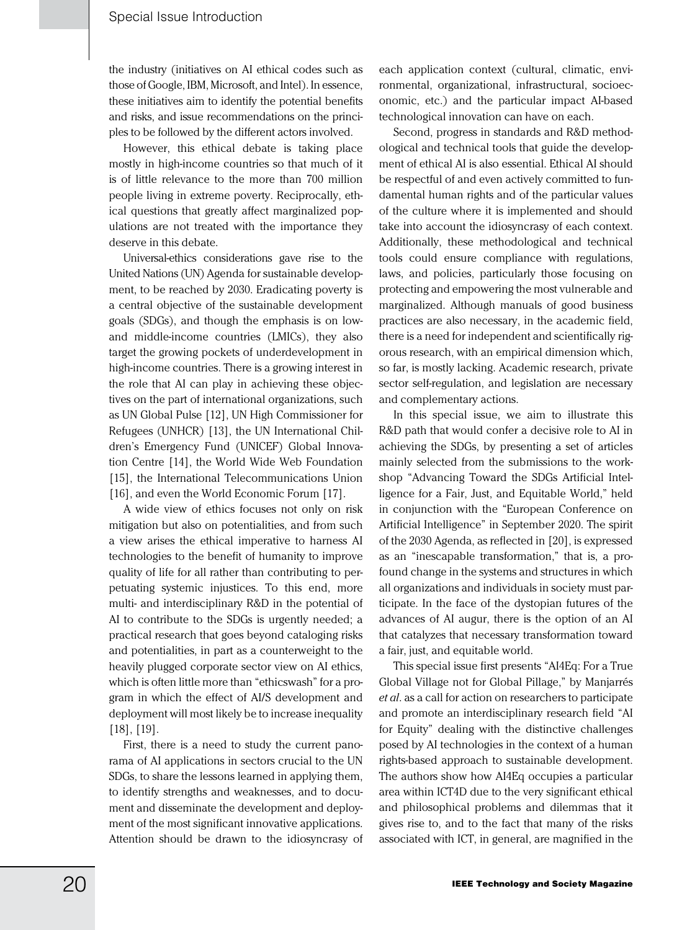the industry (initiatives on AI ethical codes such as those of Google, IBM, Microsoft, and Intel). In essence, these initiatives aim to identify the potential benefits and risks, and issue recommendations on the principles to be followed by the different actors involved.

However, this ethical debate is taking place mostly in high-income countries so that much of it is of little relevance to the more than 700 million people living in extreme poverty. Reciprocally, ethical questions that greatly affect marginalized populations are not treated with the importance they deserve in this debate.

Universal-ethics considerations gave rise to the United Nations (UN) Agenda for sustainable development, to be reached by 2030. Eradicating poverty is a central objective of the sustainable development goals (SDGs), and though the emphasis is on lowand middle-income countries (LMICs), they also target the growing pockets of underdevelopment in high-income countries. There is a growing interest in the role that AI can play in achieving these objectives on the part of international organizations, such as UN Global Pulse [12], UN High Commissioner for Refugees (UNHCR) [13], the UN International Children's Emergency Fund (UNICEF) Global Innovation Centre [14], the World Wide Web Foundation [15], the International Telecommunications Union [16], and even the World Economic Forum [17].

A wide view of ethics focuses not only on risk mitigation but also on potentialities, and from such a view arises the ethical imperative to harness AI technologies to the benefit of humanity to improve quality of life for all rather than contributing to perpetuating systemic injustices. To this end, more multi- and interdisciplinary R&D in the potential of AI to contribute to the SDGs is urgently needed; a practical research that goes beyond cataloging risks and potentialities, in part as a counterweight to the heavily plugged corporate sector view on AI ethics, which is often little more than "ethicswash" for a program in which the effect of AI/S development and deployment will most likely be to increase inequality [18], [19].

First, there is a need to study the current panorama of AI applications in sectors crucial to the UN SDGs, to share the lessons learned in applying them, to identify strengths and weaknesses, and to document and disseminate the development and deployment of the most significant innovative applications. Attention should be drawn to the idiosyncrasy of

each application context (cultural, climatic, environmental, organizational, infrastructural, socioeconomic, etc.) and the particular impact AI-based technological innovation can have on each.

Second, progress in standards and R&D methodological and technical tools that guide the development of ethical AI is also essential. Ethical AI should be respectful of and even actively committed to fundamental human rights and of the particular values of the culture where it is implemented and should take into account the idiosyncrasy of each context. Additionally, these methodological and technical tools could ensure compliance with regulations, laws, and policies, particularly those focusing on protecting and empowering the most vulnerable and marginalized. Although manuals of good business practices are also necessary, in the academic field, there is a need for independent and scientifically rigorous research, with an empirical dimension which, so far, is mostly lacking. Academic research, private sector self-regulation, and legislation are necessary and complementary actions.

In this special issue, we aim to illustrate this R&D path that would confer a decisive role to AI in achieving the SDGs, by presenting a set of articles mainly selected from the submissions to the workshop "Advancing Toward the SDGs Artificial Intelligence for a Fair, Just, and Equitable World," held in conjunction with the "European Conference on Artificial Intelligence" in September 2020. The spirit of the 2030 Agenda, as reflected in [20], is expressed as an "inescapable transformation," that is, a profound change in the systems and structures in which all organizations and individuals in society must participate. In the face of the dystopian futures of the advances of AI augur, there is the option of an AI that catalyzes that necessary transformation toward a fair, just, and equitable world.

This special issue first presents "AI4Eq: For a True Global Village not for Global Pillage," by Manjarrés *et al*. as a call for action on researchers to participate and promote an interdisciplinary research field "AI for Equity" dealing with the distinctive challenges posed by AI technologies in the context of a human rights-based approach to sustainable development. The authors show how AI4Eq occupies a particular area within ICT4D due to the very significant ethical and philosophical problems and dilemmas that it gives rise to, and to the fact that many of the risks associated with ICT, in general, are magnified in the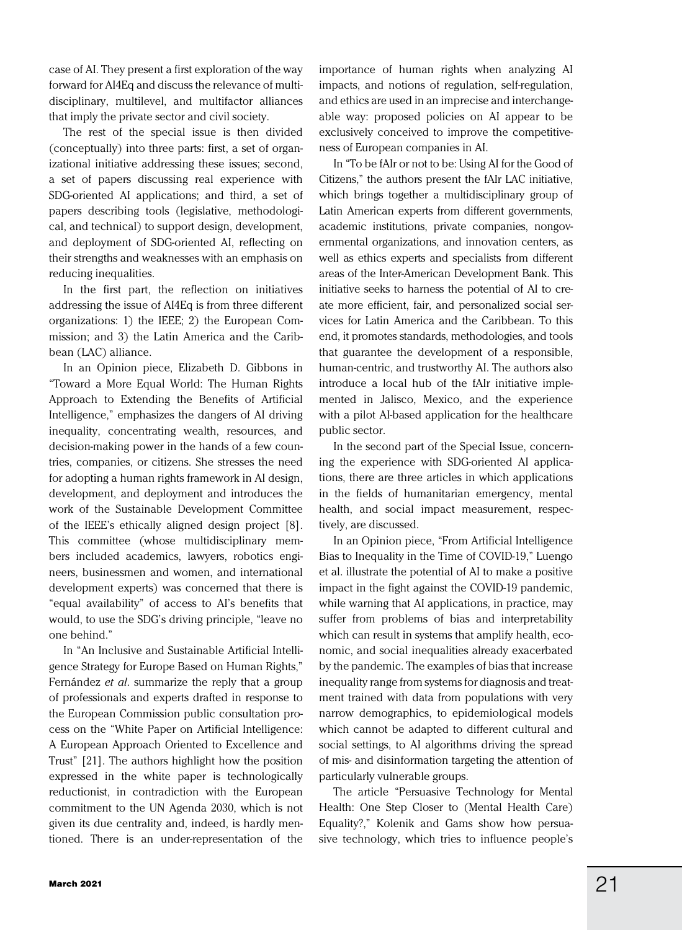case of AI. They present a first exploration of the way forward for AI4Eq and discuss the relevance of multidisciplinary, multilevel, and multifactor alliances that imply the private sector and civil society.

The rest of the special issue is then divided (conceptually) into three parts: first, a set of organizational initiative addressing these issues; second, a set of papers discussing real experience with SDG-oriented AI applications; and third, a set of papers describing tools (legislative, methodological, and technical) to support design, development, and deployment of SDG-oriented AI, reflecting on their strengths and weaknesses with an emphasis on reducing inequalities.

In the first part, the reflection on initiatives addressing the issue of AI4Eq is from three different organizations: 1) the IEEE; 2) the European Commission; and 3) the Latin America and the Caribbean (LAC) alliance.

In an Opinion piece, Elizabeth D. Gibbons in "Toward a More Equal World: The Human Rights Approach to Extending the Benefits of Artificial Intelligence," emphasizes the dangers of AI driving inequality, concentrating wealth, resources, and decision-making power in the hands of a few countries, companies, or citizens. She stresses the need for adopting a human rights framework in AI design, development, and deployment and introduces the work of the Sustainable Development Committee of the IEEE's ethically aligned design project [8]. This committee (whose multidisciplinary members included academics, lawyers, robotics engineers, businessmen and women, and international development experts) was concerned that there is "equal availability" of access to AI's benefits that would, to use the SDG's driving principle, "leave no one behind."

In "An Inclusive and Sustainable Artificial Intelligence Strategy for Europe Based on Human Rights," Fernández *et al*. summarize the reply that a group of professionals and experts drafted in response to the European Commission public consultation process on the "White Paper on Artificial Intelligence: A European Approach Oriented to Excellence and Trust" [21]. The authors highlight how the position expressed in the white paper is technologically reductionist, in contradiction with the European commitment to the UN Agenda 2030, which is not given its due centrality and, indeed, is hardly mentioned. There is an under-representation of the importance of human rights when analyzing AI impacts, and notions of regulation, self-regulation, and ethics are used in an imprecise and interchangeable way: proposed policies on AI appear to be exclusively conceived to improve the competitiveness of European companies in AI.

In "To be fAIr or not to be: Using AI for the Good of Citizens," the authors present the fAIr LAC initiative, which brings together a multidisciplinary group of Latin American experts from different governments, academic institutions, private companies, nongovernmental organizations, and innovation centers, as well as ethics experts and specialists from different areas of the Inter-American Development Bank. This initiative seeks to harness the potential of AI to create more efficient, fair, and personalized social services for Latin America and the Caribbean. To this end, it promotes standards, methodologies, and tools that guarantee the development of a responsible, human-centric, and trustworthy AI. The authors also introduce a local hub of the fAIr initiative implemented in Jalisco, Mexico, and the experience with a pilot AI-based application for the healthcare public sector.

In the second part of the Special Issue, concerning the experience with SDG-oriented AI applications, there are three articles in which applications in the fields of humanitarian emergency, mental health, and social impact measurement, respectively, are discussed.

In an Opinion piece, "From Artificial Intelligence Bias to Inequality in the Time of COVID-19," Luengo et al. illustrate the potential of AI to make a positive impact in the fight against the COVID-19 pandemic, while warning that AI applications, in practice, may suffer from problems of bias and interpretability which can result in systems that amplify health, economic, and social inequalities already exacerbated by the pandemic. The examples of bias that increase inequality range from systems for diagnosis and treatment trained with data from populations with very narrow demographics, to epidemiological models which cannot be adapted to different cultural and social settings, to AI algorithms driving the spread of mis- and disinformation targeting the attention of particularly vulnerable groups.

The article "Persuasive Technology for Mental Health: One Step Closer to (Mental Health Care) Equality?," Kolenik and Gams show how persuasive technology, which tries to influence people's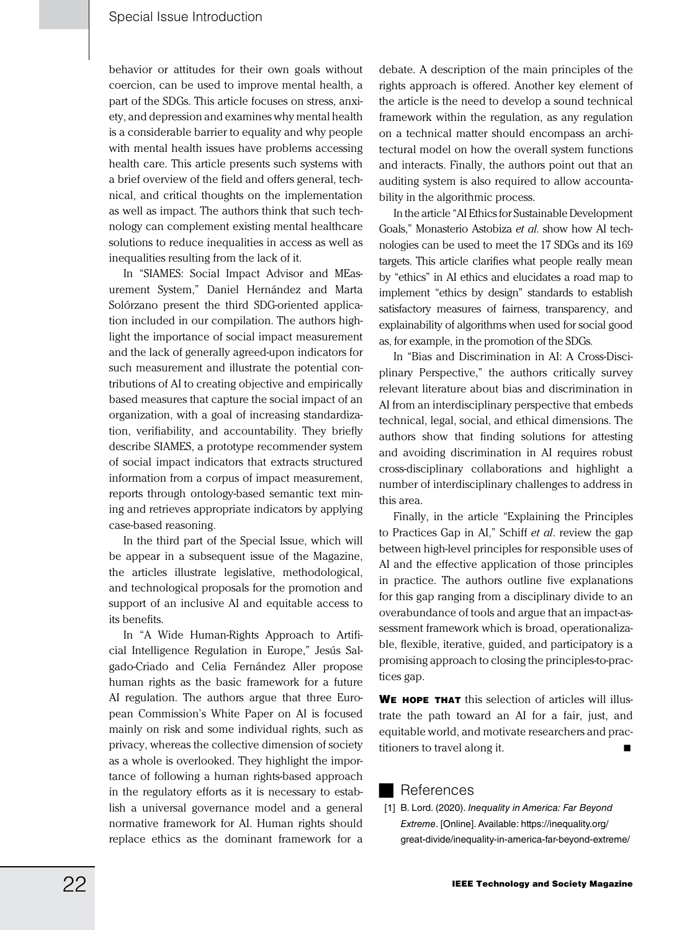behavior or attitudes for their own goals without coercion, can be used to improve mental health, a part of the SDGs. This article focuses on stress, anxiety, and depression and examines why mental health is a considerable barrier to equality and why people with mental health issues have problems accessing health care. This article presents such systems with a brief overview of the field and offers general, technical, and critical thoughts on the implementation as well as impact. The authors think that such technology can complement existing mental healthcare solutions to reduce inequalities in access as well as inequalities resulting from the lack of it.

In "SIAMES: Social Impact Advisor and MEasurement System," Daniel Hernández and Marta Solórzano present the third SDG-oriented application included in our compilation. The authors highlight the importance of social impact measurement and the lack of generally agreed-upon indicators for such measurement and illustrate the potential contributions of AI to creating objective and empirically based measures that capture the social impact of an organization, with a goal of increasing standardization, verifiability, and accountability. They briefly describe SIAMES, a prototype recommender system of social impact indicators that extracts structured information from a corpus of impact measurement, reports through ontology-based semantic text mining and retrieves appropriate indicators by applying case-based reasoning.

In the third part of the Special Issue, which will be appear in a subsequent issue of the Magazine, the articles illustrate legislative, methodological, and technological proposals for the promotion and support of an inclusive AI and equitable access to its benefits.

In "A Wide Human-Rights Approach to Artificial Intelligence Regulation in Europe," Jesús Salgado-Criado and Celia Fernández Aller propose human rights as the basic framework for a future AI regulation. The authors argue that three European Commission's White Paper on AI is focused mainly on risk and some individual rights, such as privacy, whereas the collective dimension of society as a whole is overlooked. They highlight the importance of following a human rights-based approach in the regulatory efforts as it is necessary to establish a universal governance model and a general normative framework for AI. Human rights should replace ethics as the dominant framework for a

debate. A description of the main principles of the rights approach is offered. Another key element of the article is the need to develop a sound technical framework within the regulation, as any regulation on a technical matter should encompass an architectural model on how the overall system functions and interacts. Finally, the authors point out that an auditing system is also required to allow accountability in the algorithmic process.

In the article "AI Ethics for Sustainable Development Goals," Monasterio Astobiza *et al*. show how AI technologies can be used to meet the 17 SDGs and its 169 targets. This article clarifies what people really mean by "ethics" in AI ethics and elucidates a road map to implement "ethics by design" standards to establish satisfactory measures of fairness, transparency, and explainability of algorithms when used for social good as, for example, in the promotion of the SDGs.

In "Bias and Discrimination in AI: A Cross-Disciplinary Perspective," the authors critically survey relevant literature about bias and discrimination in AI from an interdisciplinary perspective that embeds technical, legal, social, and ethical dimensions. The authors show that finding solutions for attesting and avoiding discrimination in AI requires robust cross-disciplinary collaborations and highlight a number of interdisciplinary challenges to address in this area.

Finally, in the article "Explaining the Principles to Practices Gap in AI," Schiff *et al*. review the gap between high-level principles for responsible uses of AI and the effective application of those principles in practice. The authors outline five explanations for this gap ranging from a disciplinary divide to an overabundance of tools and argue that an impact-assessment framework which is broad, operationalizable, flexible, iterative, guided, and participatory is a promising approach to closing the principles-to-practices gap.

WE HOPE THAT this selection of articles will illustrate the path toward an AI for a fair, just, and equitable world, and motivate researchers and practitioners to travel along it.

## References

[1] B. Lord. (2020). *Inequality in America: Far Beyond Extreme*. [Online]. Available: https://inequality.org/ great-divide/inequality-in-america-far-beyond-extreme/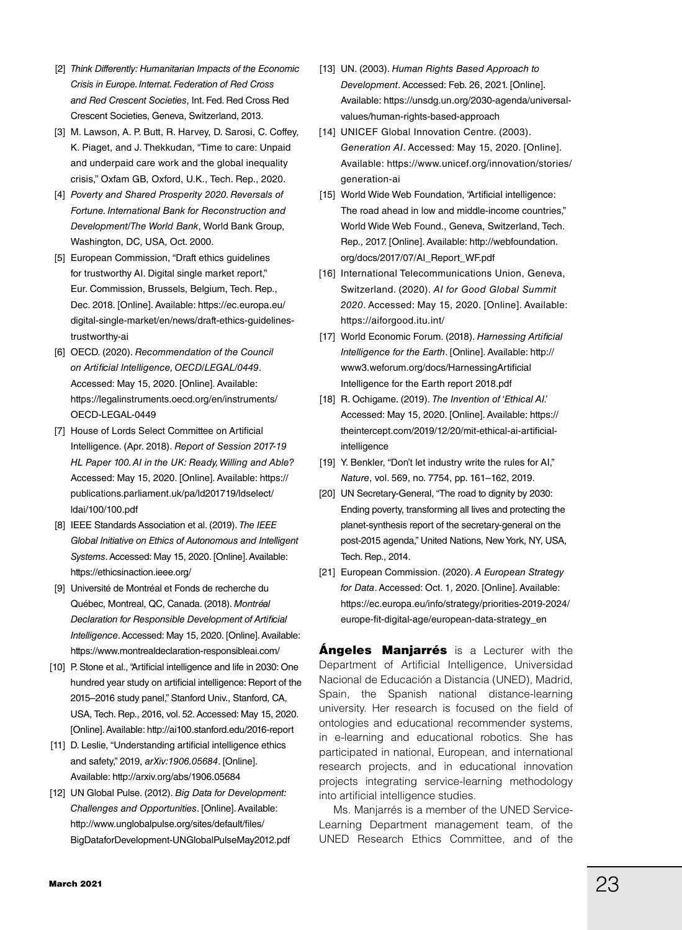- [2] *Think Differently: Humanitarian Impacts of the Economic Crisis in Europe. Internat. Federation of Red Cross and Red Crescent Societies*, Int. Fed. Red Cross Red Crescent Societies, Geneva, Switzerland, 2013.
- [3] M. Lawson, A. P. Butt, R. Harvey, D. Sarosi, C. Coffey, K. Piaget, and J. Thekkudan, "Time to care: Unpaid and underpaid care work and the global inequality crisis,'' Oxfam GB, Oxford, U.K., Tech. Rep., 2020.
- [4] *Poverty and Shared Prosperity 2020. Reversals of Fortune. International Bank for Reconstruction and Development/The World Bank*, World Bank Group, Washington, DC, USA, Oct. 2000.
- [5] European Commission, "Draft ethics guidelines for trustworthy AI. Digital single market report," Eur. Commission, Brussels, Belgium, Tech. Rep., Dec. 2018. [Online]. Available: https://ec.europa.eu/ digital-single-market/en/news/draft-ethics-guidelinestrustworthy-ai
- [6] OECD. (2020). *Recommendation of the Council on Artificial Intelligence, OECD/LEGAL/0449*. Accessed: May 15, 2020. [Online]. Available: https://legalinstruments.oecd.org/en/instruments/ OECD-LEGAL-0449
- [7] House of Lords Select Committee on Artificial Intelligence. (Apr. 2018). *Report of Session 2017-19 HL Paper 100. AI in the UK: Ready, Willing and Able?* Accessed: May 15, 2020. [Online]. Available: https:// publications.parliament.uk/pa/ld201719/ldselect/ ldai/100/100.pdf
- [8] IEEE Standards Association et al. (2019). *The IEEE Global Initiative on Ethics of Autonomous and Intelligent Systems*. Accessed: May 15, 2020. [Online]. Available: https://ethicsinaction.ieee.org/
- [9] Université de Montréal et Fonds de recherche du Québec, Montreal, QC, Canada. (2018). *Montréal Declaration for Responsible Development of Artificial Intelligence*. Accessed: May 15, 2020. [Online]. Available: https://www.montrealdeclaration-responsibleai.com/
- [10] P. Stone et al., "Artificial intelligence and life in 2030: One hundred year study on artificial intelligence: Report of the 2015–2016 study panel," Stanford Univ., Stanford, CA, USA, Tech. Rep., 2016, vol. 52. Accessed: May 15, 2020. [Online]. Available: http://ai100.stanford.edu/2016-report
- [11] D. Leslie, "Understanding artificial intelligence ethics and safety," 2019, *arXiv:1906.05684*. [Online]. Available: http://arxiv.org/abs/1906.05684
- [12] UN Global Pulse. (2012). *Big Data for Development: Challenges and Opportunities*. [Online]. Available: http://www.unglobalpulse.org/sites/default/files/ BigDataforDevelopment-UNGlobalPulseMay2012.pdf
- [13] UN. (2003). *Human Rights Based Approach to Development*. Accessed: Feb. 26, 2021. [Online]. Available: https://unsdg.un.org/2030-agenda/universalvalues/human-rights-based-approach
- [14] UNICEF Global Innovation Centre. (2003). *Generation AI*. Accessed: May 15, 2020. [Online]. Available: https://www.unicef.org/innovation/stories/ generation-ai
- [15] World Wide Web Foundation, "Artificial intelligence: The road ahead in low and middle-income countries," World Wide Web Found., Geneva, Switzerland, Tech. Rep., 2017. [Online]. Available: http://webfoundation. org/docs/2017/07/AI\_Report\_WF.pdf
- [16] International Telecommunications Union, Geneva, Switzerland. (2020). *AI for Good Global Summit 2020*. Accessed: May 15, 2020. [Online]. Available: https://aiforgood.itu.int/
- [17] World Economic Forum. (2018). *Harnessing Artificial Intelligence for the Earth*. [Online]. Available: http:// www3.weforum.org/docs/HarnessingArtificial Intelligence for the Earth report 2018.pdf
- [18] R. Ochigame. (2019). *The Invention of 'Ethical AI.'* Accessed: May 15, 2020. [Online]. Available: https:// theintercept.com/2019/12/20/mit-ethical-ai-artificialintelligence
- [19] Y. Benkler, "Don't let industry write the rules for AI," *Nature*, vol. 569, no. 7754, pp. 161–162, 2019.
- [20] UN Secretary-General, "The road to dignity by 2030: Ending poverty, transforming all lives and protecting the planet-synthesis report of the secretary-general on the post-2015 agenda," United Nations, New York, NY, USA, Tech. Rep., 2014.
- [21] European Commission. (2020). *A European Strategy for Data*. Accessed: Oct. 1, 2020. [Online]. Available: https://ec.europa.eu/info/strategy/priorities-2019-2024/ europe-fit-digital-age/european-data-strategy\_en

**Angeles Manjarrés** is a Lecturer with the Department of Artificial Intelligence, Universidad Nacional de Educación a Distancia (UNED), Madrid, Spain, the Spanish national distance-learning university. Her research is focused on the field of ontologies and educational recommender systems, in e-learning and educational robotics. She has participated in national, European, and international research projects, and in educational innovation projects integrating service-learning methodology into artificial intelligence studies.

Ms. Manjarrés is a member of the UNED Service-Learning Department management team, of the UNED Research Ethics Committee, and of the